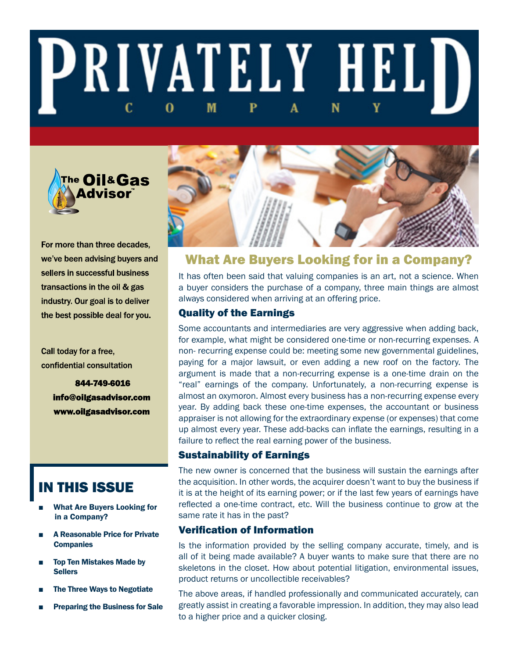# **PRIVATELY HELD** M N 0



For more than three decades, we've been advising buyers and sellers in successful business transactions in the oil & gas industry. Our goal is to deliver the best possible deal for you.

Call today for a free, confidential consultation

> 844-749-6016 info@oilgasadvisor.com www.oilgasadvisor.com

# IN THIS ISSUE

- **What Are Buyers Looking for** in a Company?
- **A Reasonable Price for Private Companies**
- **Top Ten Mistakes Made by Sellers**
- The Three Ways to Negotiate
- **Preparing the Business for Sale**



# What Are Buyers Looking for in a Company?

It has often been said that valuing companies is an art, not a science. When a buyer considers the purchase of a company, three main things are almost always considered when arriving at an offering price.

### Quality of the Earnings

Some accountants and intermediaries are very aggressive when adding back, for example, what might be considered one-time or non-recurring expenses. A non- recurring expense could be: meeting some new governmental guidelines, paying for a major lawsuit, or even adding a new roof on the factory. The argument is made that a non-recurring expense is a one-time drain on the "real" earnings of the company. Unfortunately, a non-recurring expense is almost an oxymoron. Almost every business has a non-recurring expense every year. By adding back these one-time expenses, the accountant or business appraiser is not allowing for the extraordinary expense (or expenses) that come up almost every year. These add-backs can inflate the earnings, resulting in a failure to reflect the real earning power of the business.

### Sustainability of Earnings

The new owner is concerned that the business will sustain the earnings after the acquisition. In other words, the acquirer doesn't want to buy the business if it is at the height of its earning power; or if the last few years of earnings have reflected a one-time contract, etc. Will the business continue to grow at the same rate it has in the past?

#### Verification of Information

Is the information provided by the selling company accurate, timely, and is all of it being made available? A buyer wants to make sure that there are no skeletons in the closet. How about potential litigation, environmental issues, product returns or uncollectible receivables?

The above areas, if handled professionally and communicated accurately, can greatly assist in creating a favorable impression. In addition, they may also lead to a higher price and a quicker closing.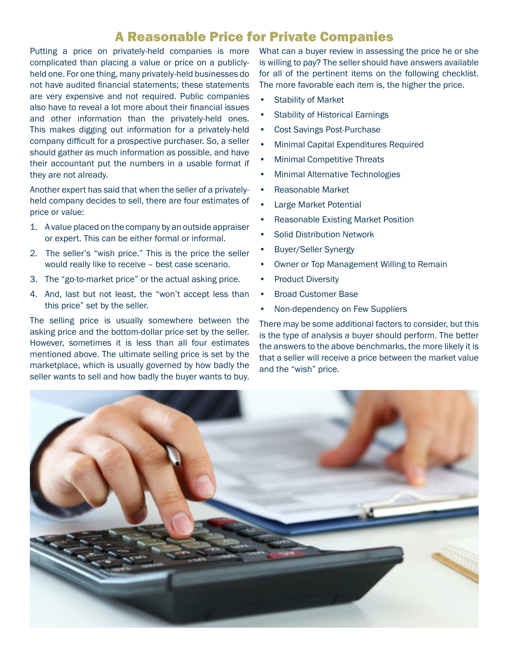# A Reasonable Price for Private Companies

Putting a price on privately-held companies is more complicated than placing a value or price on a publiclyheld one. For one thing, many privately-held businesses do not have audited financial statements; these statements are very expensive and not required. Public companies also have to reveal a lot more about their financial issues and other information than the privately-held ones. This makes digging out information for a privately-held company difficult for a prospective purchaser. So, a seller should gather as much information as possible, and have their accountant put the numbers in a usable format if they are not already.

Another expert has said that when the seller of a privatelyheld company decides to sell, there are four estimates of price or value:

- 1. A value placed on the company by an outside appraiser or expert. This can be either formal or informal.
- 2. The seller's "wish price." This is the price the seller would really like to receive – best case scenario.
- 3. The "go-to-market price" or the actual asking price.
- 4. And, last but not least, the "won't accept less than this price" set by the seller.

The selling price is usually somewhere between the asking price and the bottom-dollar price set by the seller. However, sometimes it is less than all four estimates mentioned above. The ultimate selling price is set by the marketplace, which is usually governed by how badly the seller wants to sell and how badly the buyer wants to buy.

What can a buyer review in assessing the price he or she is willing to pay? The seller should have answers available for all of the pertinent items on the following checklist. The more favorable each item is, the higher the price.

- Stability of Market
- Stability of Historical Earnings
- Cost Savings Post-Purchase
- Minimal Capital Expenditures Required
- Minimal Competitive Threats
- Minimal Alternative Technologies
- Reasonable Market
- Large Market Potential
- Reasonable Existing Market Position
- Solid Distribution Network
- Buyer/Seller Synergy
- Owner or Top Management Willing to Remain
- Product Diversity
- Broad Customer Base
- Non-dependency on Few Suppliers

There may be some additional factors to consider, but this is the type of analysis a buyer should perform. The better the answers to the above benchmarks, the more likely it is that a seller will receive a price between the market value and the "wish" price.

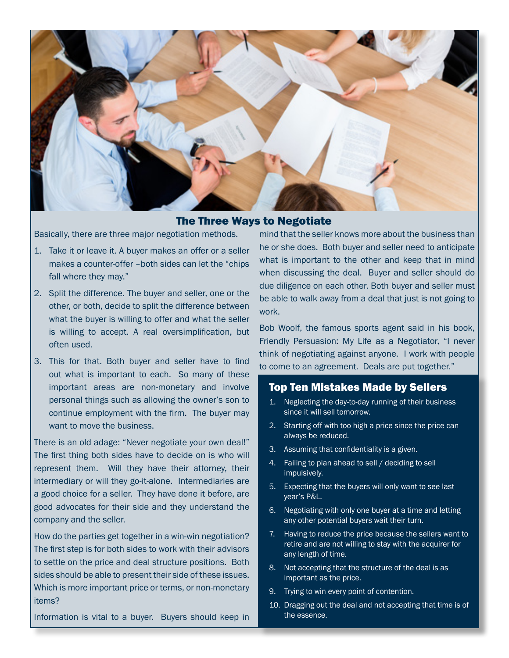

The Three Ways to Negotiate

Basically, there are three major negotiation methods.

- 1. Take it or leave it. A buyer makes an offer or a seller makes a counter-offer –both sides can let the "chips fall where they may."
- 2. Split the difference. The buyer and seller, one or the other, or both, decide to split the difference between what the buyer is willing to offer and what the seller is willing to accept. A real oversimplification, but often used.
- 3. This for that. Both buyer and seller have to find out what is important to each. So many of these important areas are non-monetary and involve personal things such as allowing the owner's son to continue employment with the firm. The buyer may want to move the business.

There is an old adage: "Never negotiate your own deal!" The first thing both sides have to decide on is who will represent them. Will they have their attorney, their intermediary or will they go-it-alone. Intermediaries are a good choice for a seller. They have done it before, are good advocates for their side and they understand the company and the seller.

How do the parties get together in a win-win negotiation? The first step is for both sides to work with their advisors to settle on the price and deal structure positions. Both sides should be able to present their side of these issues. Which is more important price or terms, or non-monetary items?

Information is vital to a buyer. Buyers should keep in

mind that the seller knows more about the business than he or she does. Both buyer and seller need to anticipate what is important to the other and keep that in mind when discussing the deal. Buyer and seller should do due diligence on each other. Both buyer and seller must be able to walk away from a deal that just is not going to work.

Bob Woolf, the famous sports agent said in his book, Friendly Persuasion: My Life as a Negotiator, "I never think of negotiating against anyone. I work with people to come to an agreement. Deals are put together."

#### Top Ten Mistakes Made by Sellers

- 1. Neglecting the day-to-day running of their business since it will sell tomorrow.
- 2. Starting off with too high a price since the price can always be reduced.
- 3. Assuming that confidentiality is a given.
- 4. Failing to plan ahead to sell / deciding to sell impulsively.
- 5. Expecting that the buyers will only want to see last year's P&L.
- 6. Negotiating with only one buyer at a time and letting any other potential buyers wait their turn.
- 7. Having to reduce the price because the sellers want to retire and are not willing to stay with the acquirer for any length of time.
- 8. Not accepting that the structure of the deal is as important as the price.
- 9. Trying to win every point of contention.
- 10. Dragging out the deal and not accepting that time is of the essence.